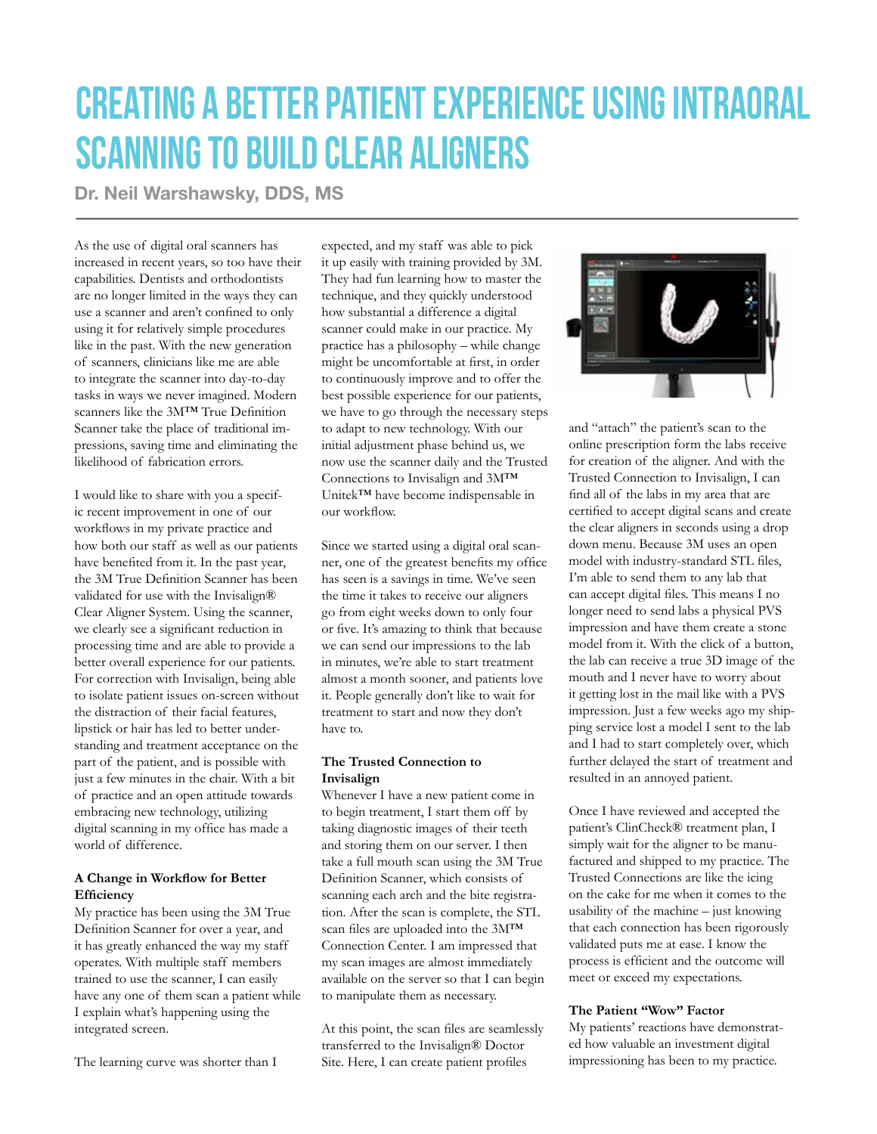# CREATING A BETTER PATIENT EXPERIENCE USING INTRAORAL SCANNING TO BUILD CLEAR ALIGNERS

Dr. Neil Warshawsky, DDS, MS

As the use of digital oral scanners has increased in recent years, so too have their capabilities. Dentists and orthodontists are no longer limited in the ways they can use a scanner and aren't confined to only using it for relatively simple procedures like in the past. With the new generation of scanners, clinicians like me are able to integrate the scanner into day-to-day tasks in ways we never imagined. Modern scanners like the 3M™ True Definition Scanner take the place of traditional impressions, saving time and eliminating the likelihood of fabrication errors.

I would like to share with you a specific recent improvement in one of our workflows in my private practice and how both our staff as well as our patients have benefited from it. In the past year, the 3M True Definition Scanner has been validated for use with the Invisalign® Clear Aligner System. Using the scanner, we clearly see a significant reduction in processing time and are able to provide a better overall experience for our patients. For correction with Invisalign, being able to isolate patient issues on-screen without the distraction of their facial features, lipstick or hair has led to better understanding and treatment acceptance on the part of the patient, and is possible with just a few minutes in the chair. With a bit of practice and an open attitude towards embracing new technology, utilizing digital scanning in my office has made a world of difference.

### **A Change in Workflow for Better Efficiency**

My practice has been using the 3M True Definition Scanner for over a year, and it has greatly enhanced the way my staff operates. With multiple staff members trained to use the scanner, I can easily have any one of them scan a patient while I explain what's happening using the integrated screen.

The learning curve was shorter than I

expected, and my staff was able to pick it up easily with training provided by 3M. They had fun learning how to master the technique, and they quickly understood how substantial a difference a digital scanner could make in our practice. My practice has a philosophy – while change might be uncomfortable at first, in order to continuously improve and to offer the best possible experience for our patients, we have to go through the necessary steps to adapt to new technology. With our initial adjustment phase behind us, we now use the scanner daily and the Trusted Connections to Invisalign and 3M™ Unitek™ have become indispensable in our workflow.

Since we started using a digital oral scanner, one of the greatest benefits my office has seen is a savings in time. We've seen the time it takes to receive our aligners go from eight weeks down to only four or five. It's amazing to think that because we can send our impressions to the lab in minutes, we're able to start treatment almost a month sooner, and patients love it. People generally don't like to wait for treatment to start and now they don't have to.

#### **The Trusted Connection to Invisalign**

Whenever I have a new patient come in to begin treatment, I start them off by taking diagnostic images of their teeth and storing them on our server. I then take a full mouth scan using the 3M True Definition Scanner, which consists of scanning each arch and the bite registration. After the scan is complete, the STL scan files are uploaded into the 3M™ Connection Center. I am impressed that my scan images are almost immediately available on the server so that I can begin to manipulate them as necessary.

At this point, the scan files are seamlessly transferred to the Invisalign® Doctor Site. Here, I can create patient profiles



and "attach" the patient's scan to the online prescription form the labs receive for creation of the aligner. And with the Trusted Connection to Invisalign, I can find all of the labs in my area that are certified to accept digital scans and create the clear aligners in seconds using a drop down menu. Because 3M uses an open model with industry-standard STL files, I'm able to send them to any lab that can accept digital files. This means I no longer need to send labs a physical PVS impression and have them create a stone model from it. With the click of a button, the lab can receive a true 3D image of the mouth and I never have to worry about it getting lost in the mail like with a PVS impression. Just a few weeks ago my shipping service lost a model I sent to the lab and I had to start completely over, which further delayed the start of treatment and resulted in an annoyed patient.

Once I have reviewed and accepted the patient's ClinCheck® treatment plan, I simply wait for the aligner to be manufactured and shipped to my practice. The Trusted Connections are like the icing on the cake for me when it comes to the usability of the machine – just knowing that each connection has been rigorously validated puts me at ease. I know the process is efficient and the outcome will meet or exceed my expectations.

#### **The Patient "Wow" Factor**

My patients' reactions have demonstrated how valuable an investment digital impressioning has been to my practice.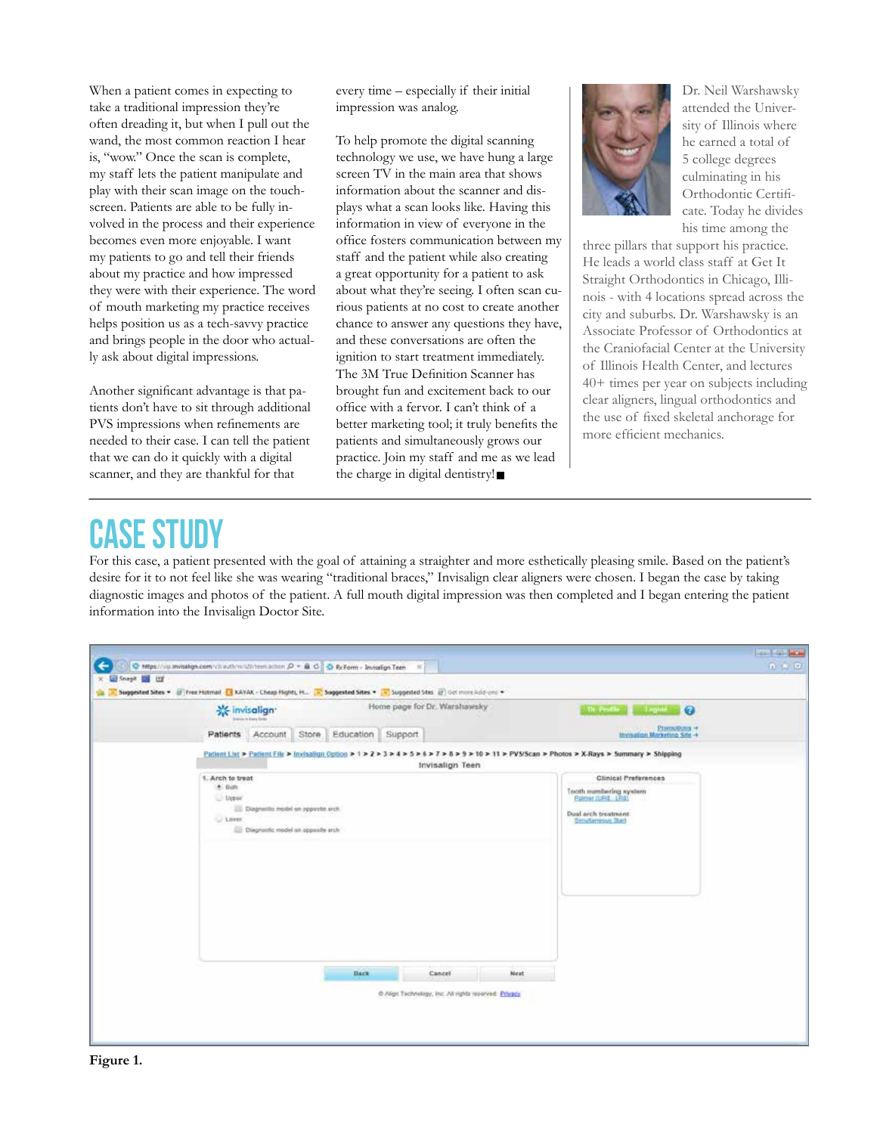When a patient comes in expecting to take a traditional impression they're often dreading it, but when I pull out the wand, the most common reaction I hear is, "wow." Once the scan is complete, my staff lets the patient manipulate and play with their scan image on the touchscreen. Patients are able to be fully involved in the process and their experience becomes even more enjoyable. I want my patients to go and tell their friends about my practice and how impressed they were with their experience. The word of mouth marketing my practice receives helps position us as a tech-savvy practice and brings people in the door who actually ask about digital impressions.

Another significant advantage is that patients don't have to sit through additional PVS impressions when refinements are needed to their case. I can tell the patient that we can do it quickly with a digital scanner, and they are thankful for that

every time – especially if their initial impression was analog.

To help promote the digital scanning technology we use, we have hung a large screen TV in the main area that shows information about the scanner and displays what a scan looks like. Having this information in view of everyone in the office fosters communication between my staff and the patient while also creating a great opportunity for a patient to ask about what they're seeing. I often scan curious patients at no cost to create another chance to answer any questions they have, and these conversations are often the ignition to start treatment immediately. The 3M True Definition Scanner has brought fun and excitement back to our office with a fervor. I can't think of a better marketing tool; it truly benefits the patients and simultaneously grows our practice. Join my staff and me as we lead the charge in digital dentistry!



Dr. Neil Warshawsky attended the University of Illinois where he earned a total of 5 college degrees culminating in his Orthodontic Certificate. Today he divides his time among the

three pillars that support his practice. He leads a world class staff at Get It Straight Orthodontics in Chicago, Illinois - with 4 locations spread across the city and suburbs. Dr. Warshawsky is an Associate Professor of Orthodontics at the Craniofacial Center at the University of Illinois Health Center, and lectures 40+ times per year on subjects including clear aligners, lingual orthodontics and the use of fixed skeletal anchorage for more efficient mechanics.

## **CASE STUD**

For this case, a patient presented with the goal of attaining a straighter and more esthetically pleasing smile. Based on the patient's desire for it to not feel like she was wearing "traditional braces," Invisalign clear aligners were chosen. I began the case by taking diagnostic images and photos of the patient. A full mouth digital impression was then completed and I began entering the patient information into the Invisalign Doctor Site.

|          | <b>※ invisalign*</b>                                                                                   |                       |      | Home page for Dr. Warshawsky                                    |      | The Pinather of<br><b>Level Co</b>                                                                                                              |  |
|----------|--------------------------------------------------------------------------------------------------------|-----------------------|------|-----------------------------------------------------------------|------|-------------------------------------------------------------------------------------------------------------------------------------------------|--|
|          | Patients Account Store Education Support                                                               |                       |      |                                                                 |      | Promotion **<br>Investiga Marketing Site +                                                                                                      |  |
|          |                                                                                                        |                       |      | Invisalign Teen                                                 |      | Patient List > Patient File > Invisalign Option > 1 > 2 > 3 > 4 > 5 > 6 > 7 > 8 > 9 > 10 > 11 > PVS/Scan > Photos > X-Rays > Summary > Shipping |  |
| $+ 0$ cm | 1. Arch to treat                                                                                       |                       |      |                                                                 |      | <b>Clinical Preferences</b>                                                                                                                     |  |
|          | $U$ Upper<br><b>III</b> Diagnath: model on oppochs and<br>U Lover<br>Diagnostic model an opposite atch | 18 : 2006 - 11 XXX XX |      |                                                                 |      | Tooth numbering system<br>Extern (URL LRS)<br>Dual arch treatment.<br><b>Groutlempous Start</b>                                                 |  |
|          |                                                                                                        |                       | Back | Cancel<br>C Align Technology, Inc. All rights reserved. Privacy | Next |                                                                                                                                                 |  |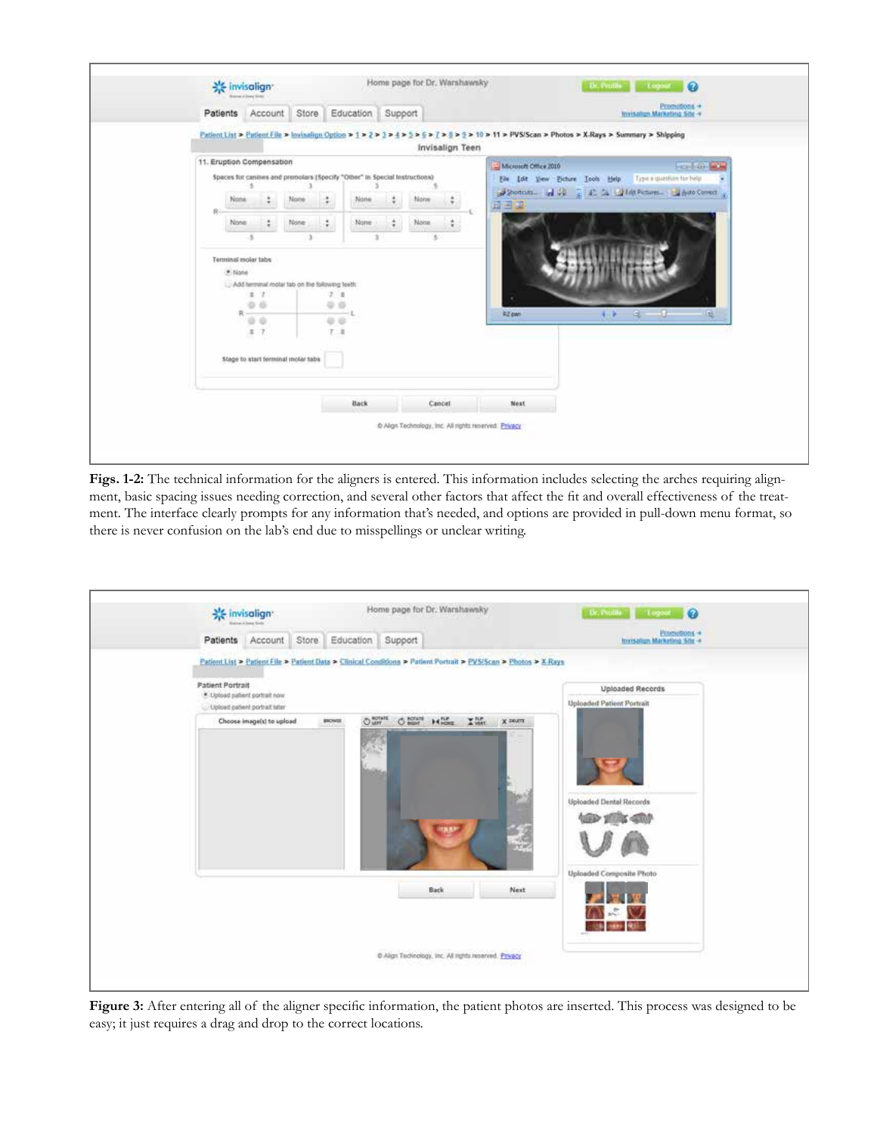

**Figs. 1-2:** The technical information for the aligners is entered. This information includes selecting the arches requiring alignment, basic spacing issues needing correction, and several other factors that affect the fit and overall effectiveness of the treatment. The interface clearly prompts for any information that's needed, and options are provided in pull-down menu format, so there is never confusion on the lab's end due to misspellings or unclear writing.



**Figure 3:** After entering all of the aligner specific information, the patient photos are inserted. This process was designed to be easy; it just requires a drag and drop to the correct locations.